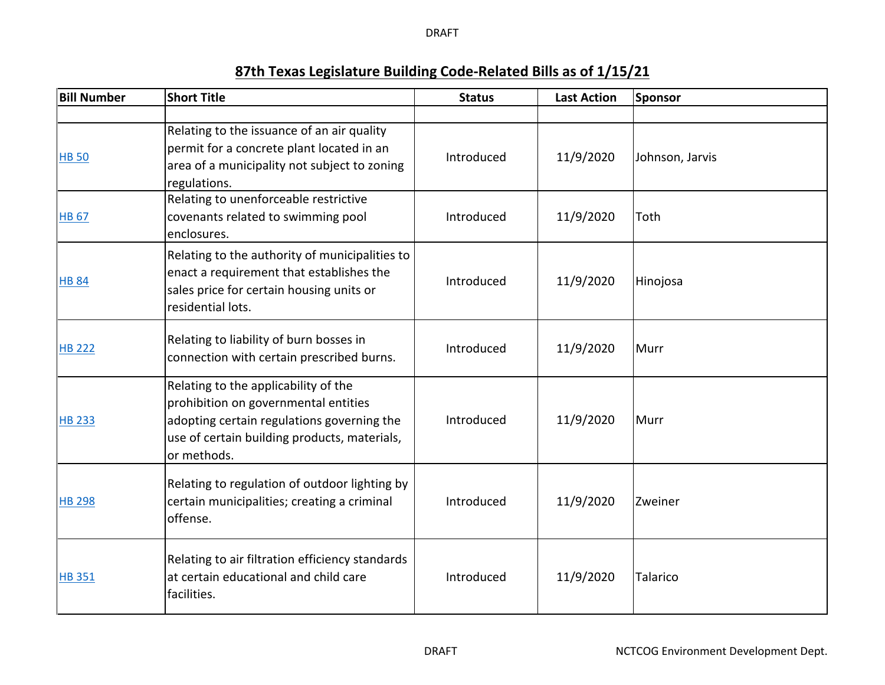DRAFT

## **87th Texas Legislature Building Code‐Related Bills as of 1/15/21**

| <b>Bill Number</b> | <b>Short Title</b>                                                                                                                                                                        | <b>Status</b> | <b>Last Action</b> | Sponsor         |
|--------------------|-------------------------------------------------------------------------------------------------------------------------------------------------------------------------------------------|---------------|--------------------|-----------------|
|                    |                                                                                                                                                                                           |               |                    |                 |
| <b>HB 50</b>       | Relating to the issuance of an air quality<br>permit for a concrete plant located in an<br>area of a municipality not subject to zoning<br>regulations.                                   | Introduced    | 11/9/2020          | Johnson, Jarvis |
| <b>HB 67</b>       | Relating to unenforceable restrictive<br>covenants related to swimming pool<br>enclosures.                                                                                                | Introduced    | 11/9/2020          | Toth            |
| <b>HB 84</b>       | Relating to the authority of municipalities to<br>enact a requirement that establishes the<br>sales price for certain housing units or<br>residential lots.                               | Introduced    | 11/9/2020          | Hinojosa        |
| <b>HB 222</b>      | Relating to liability of burn bosses in<br>connection with certain prescribed burns.                                                                                                      | Introduced    | 11/9/2020          | Murr            |
| <b>HB 233</b>      | Relating to the applicability of the<br>prohibition on governmental entities<br>adopting certain regulations governing the<br>use of certain building products, materials,<br>or methods. | Introduced    | 11/9/2020          | Murr            |
| <b>HB 298</b>      | Relating to regulation of outdoor lighting by<br>certain municipalities; creating a criminal<br>offense.                                                                                  | Introduced    | 11/9/2020          | Zweiner         |
| <b>HB 351</b>      | Relating to air filtration efficiency standards<br>at certain educational and child care<br>facilities.                                                                                   | Introduced    | 11/9/2020          | Talarico        |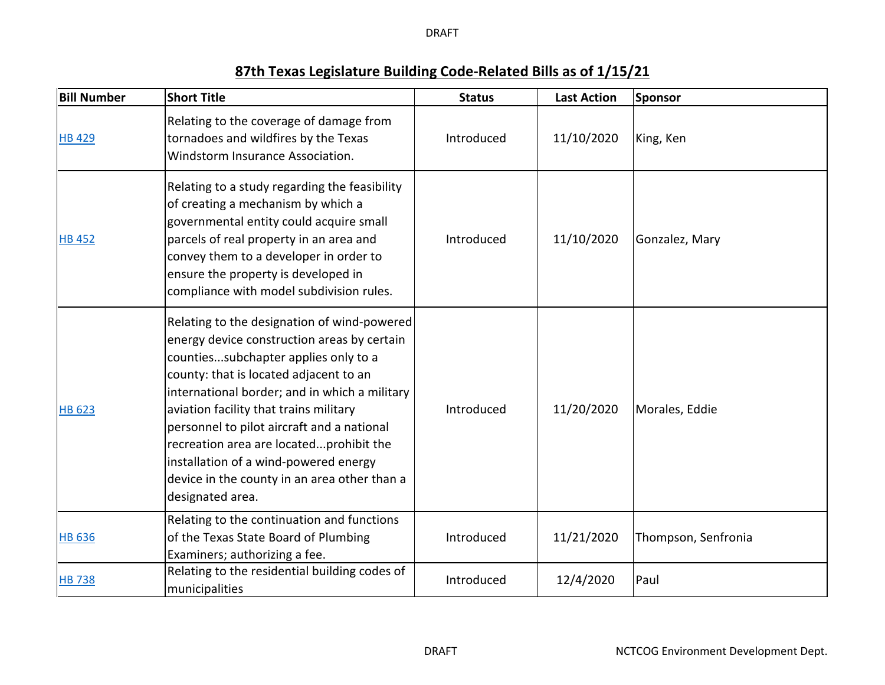DRAFT

## **87th Texas Legislature Building Code‐Related Bills as of 1/15/21**

| <b>Bill Number</b> | <b>Short Title</b>                                                                                                                                                                                                                                                                                                                                                                                                                                                            | <b>Status</b> | <b>Last Action</b> | Sponsor             |
|--------------------|-------------------------------------------------------------------------------------------------------------------------------------------------------------------------------------------------------------------------------------------------------------------------------------------------------------------------------------------------------------------------------------------------------------------------------------------------------------------------------|---------------|--------------------|---------------------|
| <b>HB 429</b>      | Relating to the coverage of damage from<br>tornadoes and wildfires by the Texas<br>Windstorm Insurance Association.                                                                                                                                                                                                                                                                                                                                                           | Introduced    | 11/10/2020         | King, Ken           |
| <b>HB 452</b>      | Relating to a study regarding the feasibility<br>of creating a mechanism by which a<br>governmental entity could acquire small<br>parcels of real property in an area and<br>convey them to a developer in order to<br>ensure the property is developed in<br>compliance with model subdivision rules.                                                                                                                                                                        | Introduced    | 11/10/2020         | Gonzalez, Mary      |
| <b>HB 623</b>      | Relating to the designation of wind-powered<br>energy device construction areas by certain<br>countiessubchapter applies only to a<br>county: that is located adjacent to an<br>international border; and in which a military<br>aviation facility that trains military<br>personnel to pilot aircraft and a national<br>recreation area are locatedprohibit the<br>installation of a wind-powered energy<br>device in the county in an area other than a<br>designated area. | Introduced    | 11/20/2020         | Morales, Eddie      |
| <b>HB 636</b>      | Relating to the continuation and functions<br>of the Texas State Board of Plumbing<br>Examiners; authorizing a fee.                                                                                                                                                                                                                                                                                                                                                           | Introduced    | 11/21/2020         | Thompson, Senfronia |
| <b>HB 738</b>      | Relating to the residential building codes of<br>municipalities                                                                                                                                                                                                                                                                                                                                                                                                               | Introduced    | 12/4/2020          | Paul                |